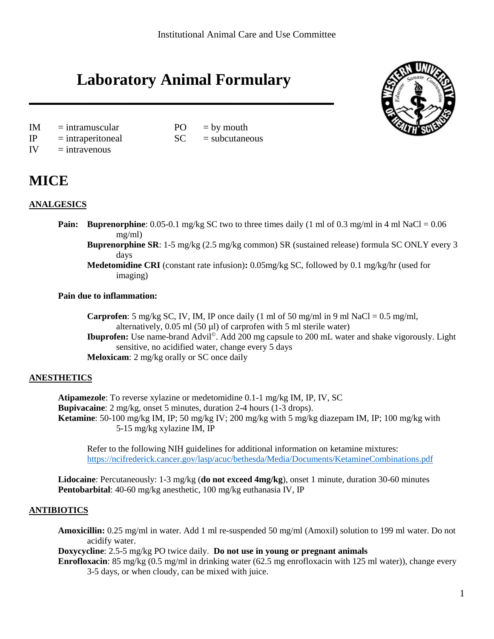# **Laboratory Animal Formulary**





- $IM = intramuscular$   $PO = by mouth$
- $IP$  = intraperitoneal  $SC$  = subcutaneous
- $IV =$ intravenous

# **MICE**

# **ANALGESICS**

- **Pain: Buprenorphine**: 0.05-0.1 mg/kg SC two to three times daily (1 ml of 0.3 mg/ml in 4 ml NaCl = 0.06 mg/ml)
	- **Buprenorphine SR**: 1-5 mg/kg (2.5 mg/kg common) SR (sustained release) formula SC ONLY every 3 days
	- **Medetomidine CRI** (constant rate infusion)**:** 0.05mg/kg SC, followed by 0.1 mg/kg/hr (used for imaging)

# **Pain due to inflammation:**

**Carprofen**: 5 mg/kg SC, IV, IM, IP once daily (1 ml of 50 mg/ml in 9 ml NaCl =  $0.5$  mg/ml, alternatively,  $0.05$  ml  $(50 \mu l)$  of carprofen with 5 ml sterile water) **Ibuprofen:** Use name-brand Advil©. Add 200 mg capsule to 200 mL water and shake vigorously. Light sensitive, no acidified water, change every 5 days **Meloxicam**: 2 mg/kg orally or SC once daily

# **ANESTHETICS**

**Atipamezole**: To reverse xylazine or medetomidine 0.1-1 mg/kg IM, IP, IV, SC **Bupivacaine**: 2 mg/kg, onset 5 minutes, duration 2-4 hours (1-3 drops). **Ketamine**: 50-100 mg/kg IM, IP; 50 mg/kg IV; 200 mg/kg with 5 mg/kg diazepam IM, IP; 100 mg/kg with 5-15 mg/kg xylazine IM, IP

Refer to the following NIH guidelines for additional information on ketamine mixtures: <https://ncifrederick.cancer.gov/lasp/acuc/bethesda/Media/Documents/KetamineCombinations.pdf>

**Lidocaine**: Percutaneously: 1-3 mg/kg (**do not exceed 4mg/kg**), onset 1 minute, duration 30-60 minutes **Pentobarbital**: 40-60 mg/kg anesthetic, 100 mg/kg euthanasia IV, IP

# **ANTIBIOTICS**

**Amoxicillin:** 0.25 mg/ml in water. Add 1 ml re-suspended 50 mg/ml (Amoxil) solution to 199 ml water. Do not acidify water.

**Doxycycline**: 2.5-5 mg/kg PO twice daily. **Do not use in young or pregnant animals**

**Enrofloxacin**: 85 mg/kg (0.5 mg/ml in drinking water (62.5 mg enrofloxacin with 125 ml water)), change every 3-5 days, or when cloudy, can be mixed with juice.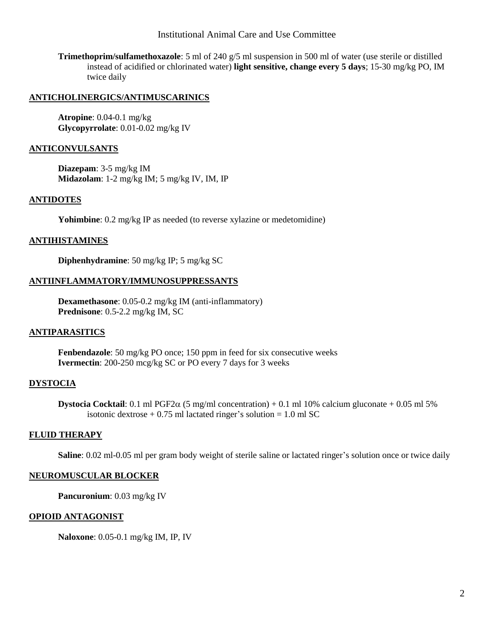Institutional Animal Care and Use Committee

**Trimethoprim/sulfamethoxazole**: 5 ml of 240 g/5 ml suspension in 500 ml of water (use sterile or distilled instead of acidified or chlorinated water) **light sensitive, change every 5 days**; 15-30 mg/kg PO, IM twice daily

#### **ANTICHOLINERGICS/ANTIMUSCARINICS**

**Atropine**: 0.04-0.1 mg/kg **Glycopyrrolate**: 0.01-0.02 mg/kg IV

#### **ANTICONVULSANTS**

**Diazepam**: 3-5 mg/kg IM **Midazolam**: 1-2 mg/kg IM; 5 mg/kg IV, IM, IP

#### **ANTIDOTES**

**Yohimbine**: 0.2 mg/kg IP as needed (to reverse xylazine or medetomidine)

#### **ANTIHISTAMINES**

**Diphenhydramine**: 50 mg/kg IP; 5 mg/kg SC

#### **ANTIINFLAMMATORY/IMMUNOSUPPRESSANTS**

**Dexamethasone**: 0.05-0.2 mg/kg IM (anti-inflammatory) **Prednisone**: 0.5-2.2 mg/kg IM, SC

#### **ANTIPARASITICS**

**Fenbendazole**: 50 mg/kg PO once; 150 ppm in feed for six consecutive weeks **Ivermectin**: 200-250 mcg/kg SC or PO every 7 days for 3 weeks

#### **DYSTOCIA**

**Dystocia Cocktail:** 0.1 ml PGF2 $\alpha$  (5 mg/ml concentration) + 0.1 ml 10% calcium gluconate + 0.05 ml 5% isotonic dextrose  $+ 0.75$  ml lactated ringer's solution = 1.0 ml SC

#### **FLUID THERAPY**

**Saline**: 0.02 ml-0.05 ml per gram body weight of sterile saline or lactated ringer's solution once or twice daily

#### **NEUROMUSCULAR BLOCKER**

**Pancuronium**: 0.03 mg/kg IV

#### **OPIOID ANTAGONIST**

**Naloxone**: 0.05-0.1 mg/kg IM, IP, IV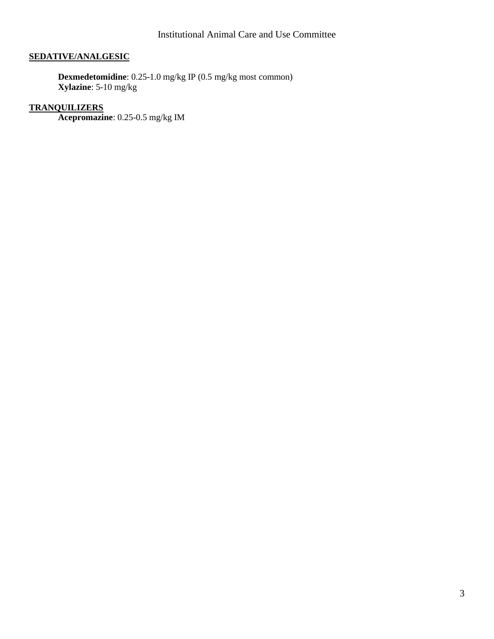# **SEDATIVE/ANALGESIC**

**Dexmedetomidine**: 0.25-1.0 mg/kg IP (0.5 mg/kg most common) **Xylazine**: 5-10 mg/kg

# **TRANQUILIZERS**

**Acepromazine**: 0.25-0.5 mg/kg IM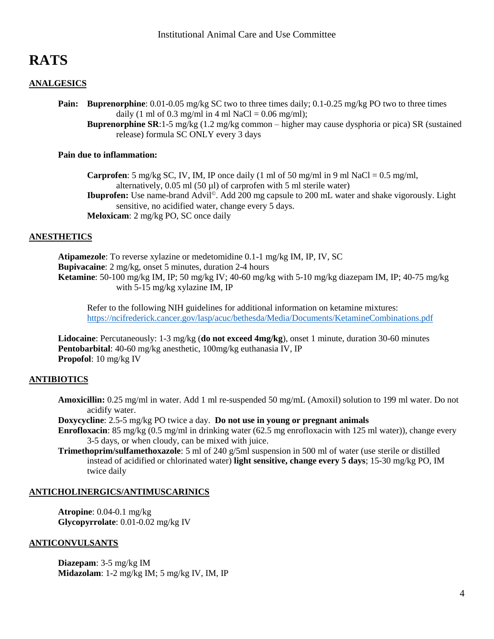# **RATS**

# **ANALGESICS**

**Pain: Buprenorphine**: 0.01-0.05 mg/kg SC two to three times daily; 0.1-0.25 mg/kg PO two to three times daily (1 ml of 0.3 mg/ml in 4 ml NaCl =  $0.06$  mg/ml);

**Buprenorphine SR**:1-5 mg/kg (1.2 mg/kg common – higher may cause dysphoria or pica) SR (sustained release) formula SC ONLY every 3 days

#### **Pain due to inflammation:**

**Carprofen**: 5 mg/kg SC, IV, IM, IP once daily (1 ml of 50 mg/ml in 9 ml NaCl =  $0.5$  mg/ml, alternatively,  $0.05$  ml  $(50 \mu l)$  of carprofen with 5 ml sterile water) **Ibuprofen:** Use name-brand Advil©. Add 200 mg capsule to 200 mL water and shake vigorously. Light

sensitive, no acidified water, change every 5 days. **Meloxicam**: 2 mg/kg PO, SC once daily

#### **ANESTHETICS**

**Atipamezole**: To reverse xylazine or medetomidine 0.1-1 mg/kg IM, IP, IV, SC **Bupivacaine**: 2 mg/kg, onset 5 minutes, duration 2-4 hours **Ketamine**: 50-100 mg/kg IM, IP; 50 mg/kg IV; 40-60 mg/kg with 5-10 mg/kg diazepam IM, IP; 40-75 mg/kg with 5-15 mg/kg xylazine IM, IP

Refer to the following NIH guidelines for additional information on ketamine mixtures: <https://ncifrederick.cancer.gov/lasp/acuc/bethesda/Media/Documents/KetamineCombinations.pdf>

**Lidocaine**: Percutaneously: 1-3 mg/kg (**do not exceed 4mg/kg**), onset 1 minute, duration 30-60 minutes **Pentobarbital**: 40-60 mg/kg anesthetic, 100mg/kg euthanasia IV, IP **Propofol**: 10 mg/kg IV

# **ANTIBIOTICS**

**Amoxicillin:** 0.25 mg/ml in water. Add 1 ml re-suspended 50 mg/mL (Amoxil) solution to 199 ml water. Do not acidify water.

**Doxycycline**: 2.5-5 mg/kg PO twice a day. **Do not use in young or pregnant animals**

- **Enrofloxacin**: 85 mg/kg (0.5 mg/ml in drinking water (62.5 mg enrofloxacin with 125 ml water)), change every 3-5 days, or when cloudy, can be mixed with juice.
- **Trimethoprim/sulfamethoxazole**: 5 ml of 240 g/5ml suspension in 500 ml of water (use sterile or distilled instead of acidified or chlorinated water) **light sensitive, change every 5 days**; 15-30 mg/kg PO, IM twice daily

#### **ANTICHOLINERGICS/ANTIMUSCARINICS**

**Atropine**: 0.04-0.1 mg/kg **Glycopyrrolate**: 0.01-0.02 mg/kg IV

#### **ANTICONVULSANTS**

**Diazepam**: 3-5 mg/kg IM **Midazolam**: 1-2 mg/kg IM; 5 mg/kg IV, IM, IP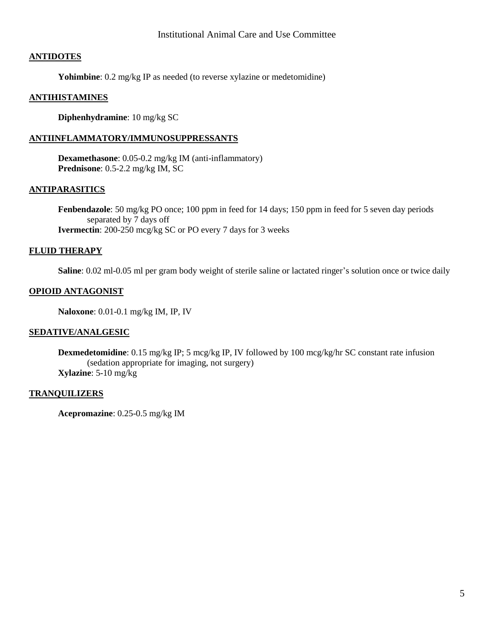#### Institutional Animal Care and Use Committee

#### **ANTIDOTES**

**Yohimbine**: 0.2 mg/kg IP as needed (to reverse xylazine or medetomidine)

#### **ANTIHISTAMINES**

**Diphenhydramine**: 10 mg/kg SC

#### **ANTIINFLAMMATORY/IMMUNOSUPPRESSANTS**

**Dexamethasone**: 0.05-0.2 mg/kg IM (anti-inflammatory) **Prednisone**: 0.5-2.2 mg/kg IM, SC

#### **ANTIPARASITICS**

**Fenbendazole**: 50 mg/kg PO once; 100 ppm in feed for 14 days; 150 ppm in feed for 5 seven day periods separated by 7 days off **Ivermectin**: 200-250 mcg/kg SC or PO every 7 days for 3 weeks

#### **FLUID THERAPY**

**Saline**: 0.02 ml-0.05 ml per gram body weight of sterile saline or lactated ringer's solution once or twice daily

#### **OPIOID ANTAGONIST**

**Naloxone**: 0.01-0.1 mg/kg IM, IP, IV

#### **SEDATIVE/ANALGESIC**

**Dexmedetomidine**: 0.15 mg/kg IP; 5 mcg/kg IP, IV followed by 100 mcg/kg/hr SC constant rate infusion (sedation appropriate for imaging, not surgery) **Xylazine**: 5-10 mg/kg

#### **TRANQUILIZERS**

**Acepromazine**: 0.25-0.5 mg/kg IM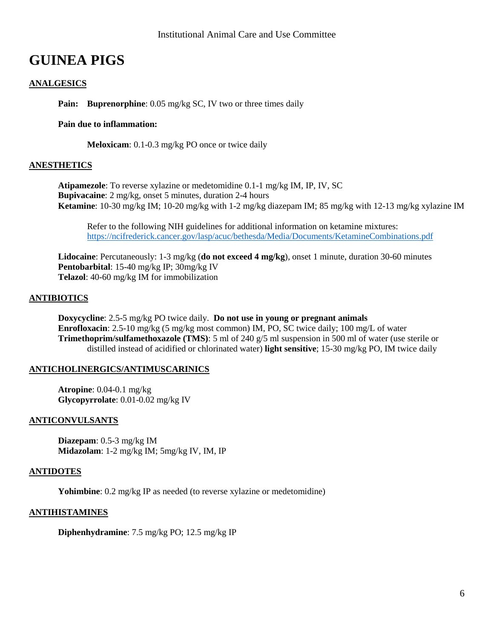# **GUINEA PIGS**

# **ANALGESICS**

**Pain: Buprenorphine**: 0.05 mg/kg SC, IV two or three times daily

#### **Pain due to inflammation:**

**Meloxicam**: 0.1-0.3 mg/kg PO once or twice daily

#### **ANESTHETICS**

**Atipamezole**: To reverse xylazine or medetomidine 0.1-1 mg/kg IM, IP, IV, SC **Bupivacaine**: 2 mg/kg, onset 5 minutes, duration 2-4 hours **Ketamine**: 10-30 mg/kg IM; 10-20 mg/kg with 1-2 mg/kg diazepam IM; 85 mg/kg with 12-13 mg/kg xylazine IM

Refer to the following NIH guidelines for additional information on ketamine mixtures: <https://ncifrederick.cancer.gov/lasp/acuc/bethesda/Media/Documents/KetamineCombinations.pdf>

**Lidocaine**: Percutaneously: 1-3 mg/kg (**do not exceed 4 mg/kg**), onset 1 minute, duration 30-60 minutes **Pentobarbital**: 15-40 mg/kg IP; 30mg/kg IV **Telazol**: 40-60 mg/kg IM for immobilization

#### **ANTIBIOTICS**

**Doxycycline**: 2.5-5 mg/kg PO twice daily. **Do not use in young or pregnant animals Enrofloxacin**: 2.5-10 mg/kg (5 mg/kg most common) IM, PO, SC twice daily; 100 mg/L of water **Trimethoprim/sulfamethoxazole (TMS)**: 5 ml of 240 g/5 ml suspension in 500 ml of water (use sterile or distilled instead of acidified or chlorinated water) **light sensitive**; 15-30 mg/kg PO, IM twice daily

#### **ANTICHOLINERGICS/ANTIMUSCARINICS**

**Atropine**: 0.04-0.1 mg/kg **Glycopyrrolate**: 0.01-0.02 mg/kg IV

#### **ANTICONVULSANTS**

**Diazepam**: 0.5-3 mg/kg IM **Midazolam**: 1-2 mg/kg IM; 5mg/kg IV, IM, IP

#### **ANTIDOTES**

**Yohimbine**: 0.2 mg/kg IP as needed (to reverse xylazine or medetomidine)

#### **ANTIHISTAMINES**

**Diphenhydramine**: 7.5 mg/kg PO; 12.5 mg/kg IP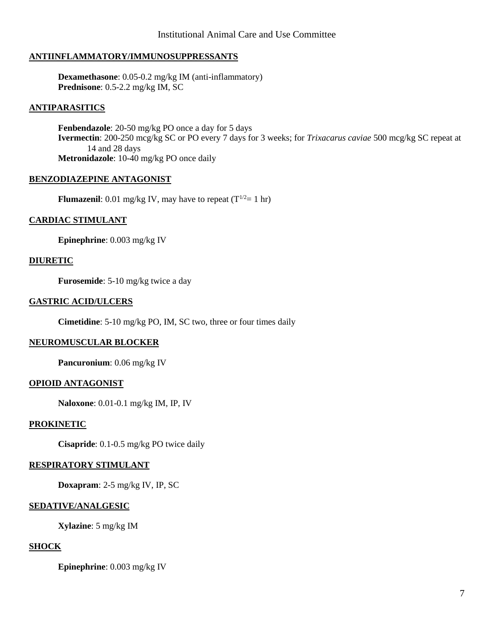# **ANTIINFLAMMATORY/IMMUNOSUPPRESSANTS**

**Dexamethasone**: 0.05-0.2 mg/kg IM (anti-inflammatory) **Prednisone**: 0.5-2.2 mg/kg IM, SC

### **ANTIPARASITICS**

**Fenbendazole**: 20-50 mg/kg PO once a day for 5 days **Ivermectin**: 200-250 mcg/kg SC or PO every 7 days for 3 weeks; for *Trixacarus caviae* 500 mcg/kg SC repeat at 14 and 28 days **Metronidazole**: 10-40 mg/kg PO once daily

# **BENZODIAZEPINE ANTAGONIST**

**Flumazenil**: 0.01 mg/kg IV, may have to repeat  $(T^{1/2}=1 \text{ hr})$ 

# **CARDIAC STIMULANT**

**Epinephrine**: 0.003 mg/kg IV

#### **DIURETIC**

**Furosemide**: 5-10 mg/kg twice a day

#### **GASTRIC ACID/ULCERS**

**Cimetidine**: 5-10 mg/kg PO, IM, SC two, three or four times daily

# **NEUROMUSCULAR BLOCKER**

**Pancuronium**: 0.06 mg/kg IV

# **OPIOID ANTAGONIST**

**Naloxone**: 0.01-0.1 mg/kg IM, IP, IV

#### **PROKINETIC**

**Cisapride**: 0.1-0.5 mg/kg PO twice daily

#### **RESPIRATORY STIMULANT**

**Doxapram**: 2-5 mg/kg IV, IP, SC

# **SEDATIVE/ANALGESIC**

**Xylazine**: 5 mg/kg IM

#### **SHOCK**

**Epinephrine**: 0.003 mg/kg IV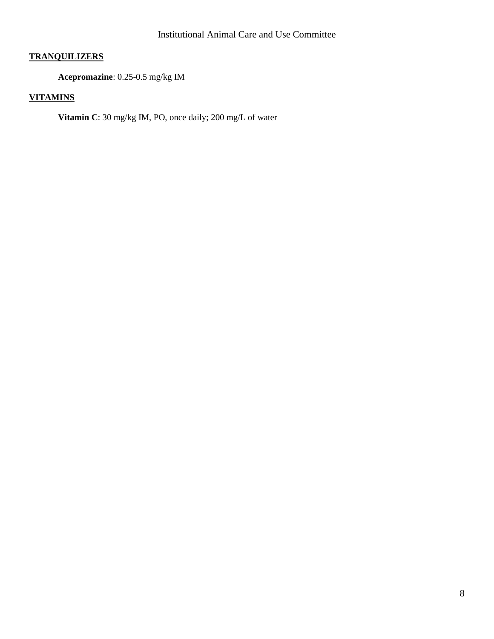# **TRANQUILIZERS**

**Acepromazine**: 0.25-0.5 mg/kg IM

# **VITAMINS**

**Vitamin C**: 30 mg/kg IM, PO, once daily; 200 mg/L of water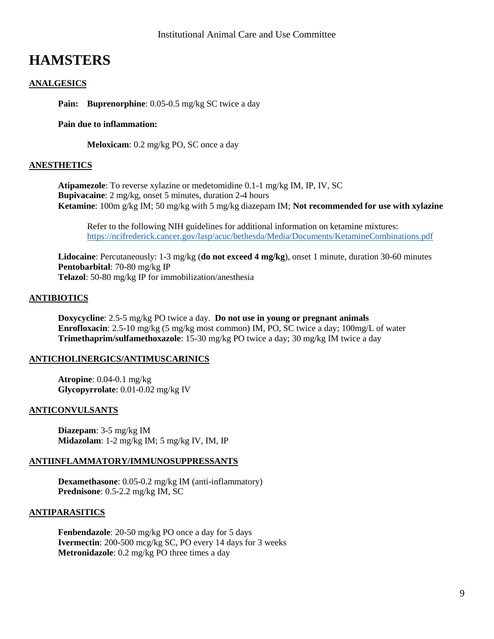# **HAMSTERS**

# **ANALGESICS**

**Pain: Buprenorphine**: 0.05-0.5 mg/kg SC twice a day

#### **Pain due to inflammation:**

**Meloxicam**: 0.2 mg/kg PO, SC once a day

#### **ANESTHETICS**

**Atipamezole**: To reverse xylazine or medetomidine 0.1-1 mg/kg IM, IP, IV, SC **Bupivacaine**: 2 mg/kg, onset 5 minutes, duration 2-4 hours **Ketamine**: 100m g/kg IM; 50 mg/kg with 5 mg/kg diazepam IM; **Not recommended for use with xylazine**

Refer to the following NIH guidelines for additional information on ketamine mixtures: <https://ncifrederick.cancer.gov/lasp/acuc/bethesda/Media/Documents/KetamineCombinations.pdf>

**Lidocaine**: Percutaneously: 1-3 mg/kg (**do not exceed 4 mg/kg**), onset 1 minute, duration 30-60 minutes **Pentobarbital**: 70-80 mg/kg IP **Telazol**: 50-80 mg/kg IP for immobilization/anesthesia

#### **ANTIBIOTICS**

**Doxycycline**: 2.5-5 mg/kg PO twice a day. **Do not use in young or pregnant animals Enrofloxacin**: 2.5-10 mg/kg (5 mg/kg most common) IM, PO, SC twice a day; 100mg/L of water **Trimethaprim/sulfamethoxazole**: 15-30 mg/kg PO twice a day; 30 mg/kg IM twice a day

#### **ANTICHOLINERGICS/ANTIMUSCARINICS**

**Atropine**: 0.04-0.1 mg/kg **Glycopyrrolate**: 0.01-0.02 mg/kg IV

#### **ANTICONVULSANTS**

**Diazepam**: 3-5 mg/kg IM **Midazolam**: 1-2 mg/kg IM; 5 mg/kg IV, IM, IP

#### **ANTIINFLAMMATORY/IMMUNOSUPPRESSANTS**

**Dexamethasone**: 0.05-0.2 mg/kg IM (anti-inflammatory) **Prednisone**: 0.5-2.2 mg/kg IM, SC

#### **ANTIPARASITICS**

**Fenbendazole**: 20-50 mg/kg PO once a day for 5 days **Ivermectin**: 200-500 mcg/kg SC, PO every 14 days for 3 weeks **Metronidazole**: 0.2 mg/kg PO three times a day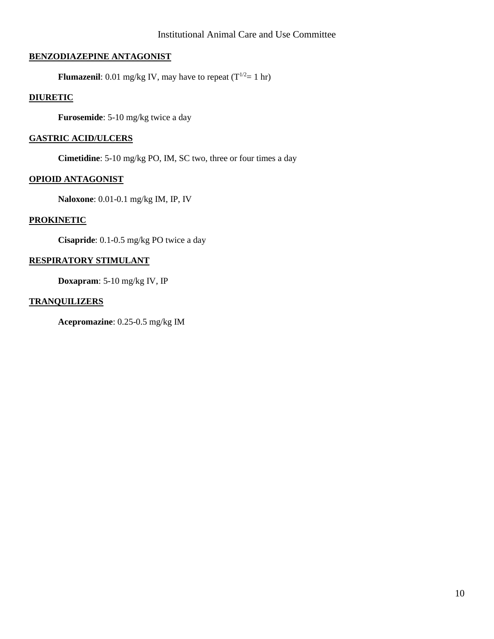# **BENZODIAZEPINE ANTAGONIST**

**Flumazenil**: 0.01 mg/kg IV, may have to repeat  $(T^{1/2}=1 \text{ hr})$ 

# **DIURETIC**

**Furosemide**: 5-10 mg/kg twice a day

### **GASTRIC ACID/ULCERS**

**Cimetidine**: 5-10 mg/kg PO, IM, SC two, three or four times a day

# **OPIOID ANTAGONIST**

**Naloxone**: 0.01-0.1 mg/kg IM, IP, IV

#### **PROKINETIC**

**Cisapride**: 0.1-0.5 mg/kg PO twice a day

# **RESPIRATORY STIMULANT**

**Doxapram**: 5-10 mg/kg IV, IP

#### **TRANQUILIZERS**

**Acepromazine**: 0.25-0.5 mg/kg IM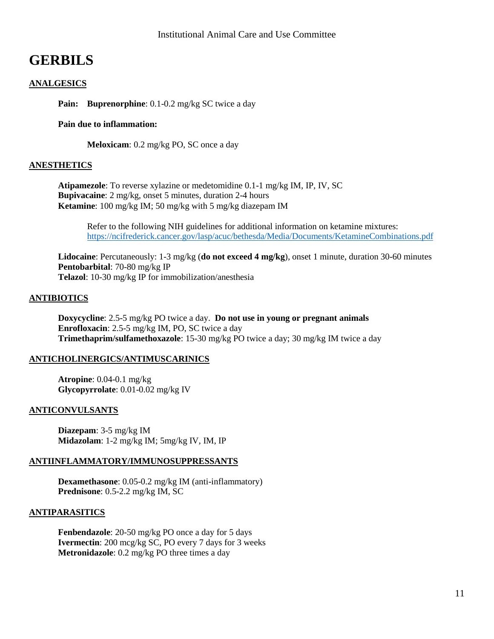# **GERBILS**

# **ANALGESICS**

**Pain: Buprenorphine**: 0.1-0.2 mg/kg SC twice a day

#### **Pain due to inflammation:**

**Meloxicam**: 0.2 mg/kg PO, SC once a day

#### **ANESTHETICS**

**Atipamezole**: To reverse xylazine or medetomidine 0.1-1 mg/kg IM, IP, IV, SC **Bupivacaine**: 2 mg/kg, onset 5 minutes, duration 2-4 hours **Ketamine**: 100 mg/kg IM; 50 mg/kg with 5 mg/kg diazepam IM

Refer to the following NIH guidelines for additional information on ketamine mixtures: <https://ncifrederick.cancer.gov/lasp/acuc/bethesda/Media/Documents/KetamineCombinations.pdf>

**Lidocaine**: Percutaneously: 1-3 mg/kg (**do not exceed 4 mg/kg**), onset 1 minute, duration 30-60 minutes **Pentobarbital**: 70-80 mg/kg IP **Telazol**: 10-30 mg/kg IP for immobilization/anesthesia

#### **ANTIBIOTICS**

**Doxycycline**: 2.5-5 mg/kg PO twice a day. **Do not use in young or pregnant animals Enrofloxacin**: 2.5-5 mg/kg IM, PO, SC twice a day **Trimethaprim/sulfamethoxazole**: 15-30 mg/kg PO twice a day; 30 mg/kg IM twice a day

# **ANTICHOLINERGICS/ANTIMUSCARINICS**

**Atropine**: 0.04-0.1 mg/kg **Glycopyrrolate**: 0.01-0.02 mg/kg IV

# **ANTICONVULSANTS**

**Diazepam**: 3-5 mg/kg IM **Midazolam**: 1-2 mg/kg IM; 5mg/kg IV, IM, IP

#### **ANTIINFLAMMATORY/IMMUNOSUPPRESSANTS**

**Dexamethasone**: 0.05-0.2 mg/kg IM (anti-inflammatory) **Prednisone**: 0.5-2.2 mg/kg IM, SC

# **ANTIPARASITICS**

**Fenbendazole**: 20-50 mg/kg PO once a day for 5 days **Ivermectin**: 200 mcg/kg SC, PO every 7 days for 3 weeks **Metronidazole**: 0.2 mg/kg PO three times a day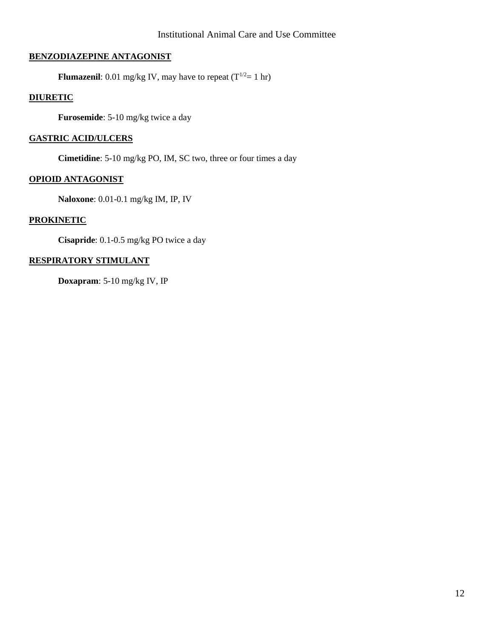# **BENZODIAZEPINE ANTAGONIST**

**Flumazenil**: 0.01 mg/kg IV, may have to repeat  $(T^{1/2}=1 \text{ hr})$ 

# **DIURETIC**

**Furosemide**: 5-10 mg/kg twice a day

# **GASTRIC ACID/ULCERS**

**Cimetidine**: 5-10 mg/kg PO, IM, SC two, three or four times a day

# **OPIOID ANTAGONIST**

**Naloxone**: 0.01-0.1 mg/kg IM, IP, IV

# **PROKINETIC**

**Cisapride**: 0.1-0.5 mg/kg PO twice a day

# **RESPIRATORY STIMULANT**

**Doxapram**: 5-10 mg/kg IV, IP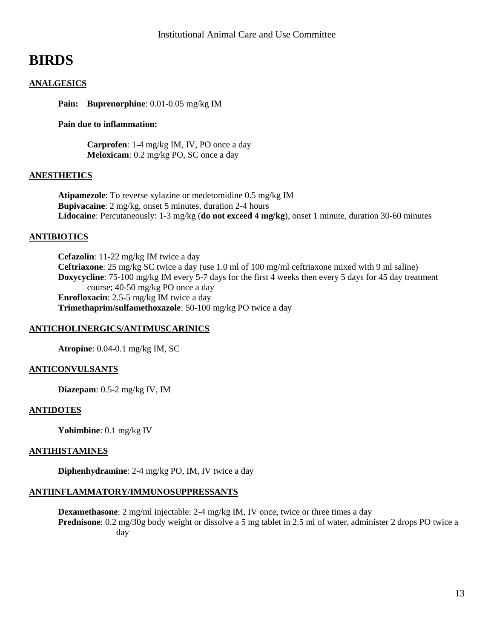# **BIRDS**

# **ANALGESICS**

**Pain: Buprenorphine**: 0.01-0.05 mg/kg IM

#### **Pain due to inflammation:**

**Carprofen**: 1-4 mg/kg IM, IV, PO once a day **Meloxicam**: 0.2 mg/kg PO, SC once a day

#### **ANESTHETICS**

**Atipamezole**: To reverse xylazine or medetomidine 0.5 mg/kg IM **Bupivacaine**: 2 mg/kg, onset 5 minutes, duration 2-4 hours **Lidocaine**: Percutaneously: 1-3 mg/kg (**do not exceed 4 mg/kg**), onset 1 minute, duration 30-60 minutes

# **ANTIBIOTICS**

**Cefazolin**: 11-22 mg/kg IM twice a day **Ceftriaxone**: 25 mg/kg SC twice a day (use 1.0 ml of 100 mg/ml ceftriaxone mixed with 9 ml saline) **Doxycycline**: 75-100 mg/kg IM every 5-7 days for the first 4 weeks then every 5 days for 45 day treatment course; 40-50 mg/kg PO once a day **Enrofloxacin**: 2.5-5 mg/kg IM twice a day **Trimethaprim/sulfamethoxazole**: 50-100 mg/kg PO twice a day

# **ANTICHOLINERGICS/ANTIMUSCARINICS**

**Atropine**: 0.04-0.1 mg/kg IM, SC

#### **ANTICONVULSANTS**

**Diazepam**: 0.5-2 mg/kg IV, IM

#### **ANTIDOTES**

**Yohimbine**: 0.1 mg/kg IV

#### **ANTIHISTAMINES**

**Diphenhydramine**: 2-4 mg/kg PO, IM, IV twice a day

#### **ANTIINFLAMMATORY/IMMUNOSUPPRESSANTS**

**Dexamethasone**: 2 mg/ml injectable: 2-4 mg/kg IM, IV once, twice or three times a day **Prednisone**: 0.2 mg/30g body weight or dissolve a 5 mg tablet in 2.5 ml of water, administer 2 drops PO twice a day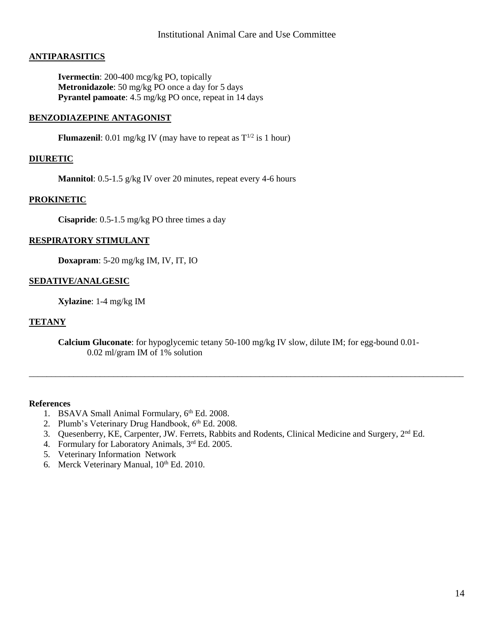### **ANTIPARASITICS**

**Ivermectin**: 200-400 mcg/kg PO, topically **Metronidazole**: 50 mg/kg PO once a day for 5 days **Pyrantel pamoate**: 4.5 mg/kg PO once, repeat in 14 days

#### **BENZODIAZEPINE ANTAGONIST**

**Flumazenil**: 0.01 mg/kg IV (may have to repeat as  $T^{1/2}$  is 1 hour)

#### **DIURETIC**

**Mannitol**: 0.5-1.5 g/kg IV over 20 minutes, repeat every 4-6 hours

#### **PROKINETIC**

**Cisapride**: 0.5-1.5 mg/kg PO three times a day

#### **RESPIRATORY STIMULANT**

**Doxapram**: 5-20 mg/kg IM, IV, IT, IO

#### **SEDATIVE/ANALGESIC**

**Xylazine**: 1-4 mg/kg IM

#### **TETANY**

**Calcium Gluconate**: for hypoglycemic tetany 50-100 mg/kg IV slow, dilute IM; for egg-bound 0.01- 0.02 ml/gram IM of 1% solution

\_\_\_\_\_\_\_\_\_\_\_\_\_\_\_\_\_\_\_\_\_\_\_\_\_\_\_\_\_\_\_\_\_\_\_\_\_\_\_\_\_\_\_\_\_\_\_\_\_\_\_\_\_\_\_\_\_\_\_\_\_\_\_\_\_\_\_\_\_\_\_\_\_\_\_\_\_\_\_\_\_\_\_\_\_\_\_\_\_\_\_\_\_\_\_\_\_\_

#### **References**

- 1. BSAVA Small Animal Formulary, 6<sup>th</sup> Ed. 2008.
- 2. Plumb's Veterinary Drug Handbook, 6<sup>th</sup> Ed. 2008.
- 3. Quesenberry, KE, Carpenter, JW. Ferrets, Rabbits and Rodents, Clinical Medicine and Surgery, 2nd Ed.
- 4. Formulary for Laboratory Animals, 3<sup>rd</sup> Ed. 2005.
- 5. Veterinary Information Network
- 6. Merck Veterinary Manual,  $10^{th}$  Ed. 2010.